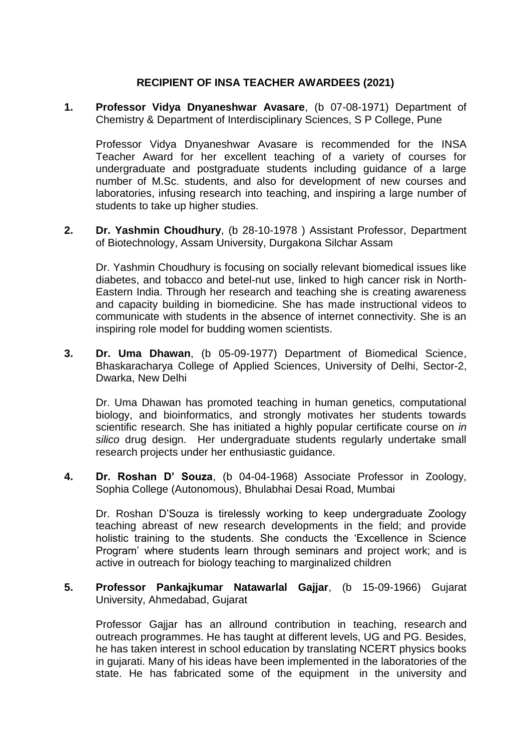## **RECIPIENT OF INSA TEACHER AWARDEES (2021)**

**1. Professor Vidya Dnyaneshwar Avasare**, (b 07-08-1971) Department of Chemistry & Department of Interdisciplinary Sciences, S P College, Pune

Professor Vidya Dnyaneshwar Avasare is recommended for the INSA Teacher Award for her excellent teaching of a variety of courses for undergraduate and postgraduate students including guidance of a large number of M.Sc. students, and also for development of new courses and laboratories, infusing research into teaching, and inspiring a large number of students to take up higher studies.

**2. Dr. Yashmin Choudhury**, (b 28-10-1978 ) Assistant Professor, Department of Biotechnology, Assam University, Durgakona Silchar Assam

Dr. Yashmin Choudhury is focusing on socially relevant biomedical issues like diabetes, and tobacco and betel-nut use, linked to high cancer risk in North-Eastern India. Through her research and teaching she is creating awareness and capacity building in biomedicine. She has made instructional videos to communicate with students in the absence of internet connectivity. She is an inspiring role model for budding women scientists.

**3. Dr. Uma Dhawan**, (b 05-09-1977) Department of Biomedical Science, Bhaskaracharya College of Applied Sciences, University of Delhi, Sector-2, Dwarka, New Delhi

Dr. Uma Dhawan has promoted teaching in human genetics, computational biology, and bioinformatics, and strongly motivates her students towards scientific research. She has initiated a highly popular certificate course on *in silico* drug design. Her undergraduate students regularly undertake small research projects under her enthusiastic guidance.

**4. Dr. Roshan D' Souza**, (b 04-04-1968) Associate Professor in Zoology, Sophia College (Autonomous), Bhulabhai Desai Road, Mumbai

Dr. Roshan D'Souza is tirelessly working to keep undergraduate Zoology teaching abreast of new research developments in the field; and provide holistic training to the students. She conducts the 'Excellence in Science Program' where students learn through seminars and project work; and is active in outreach for biology teaching to marginalized children

## **5. Professor Pankajkumar Natawarlal Gajjar**, (b 15-09-1966) Gujarat University, Ahmedabad, Gujarat

Professor Gajjar has an allround contribution in teaching, research and outreach programmes. He has taught at different levels, UG and PG. Besides, he has taken interest in school education by translating NCERT physics books in gujarati. Many of his ideas have been implemented in the laboratories of the state. He has fabricated some of the equipment in the university and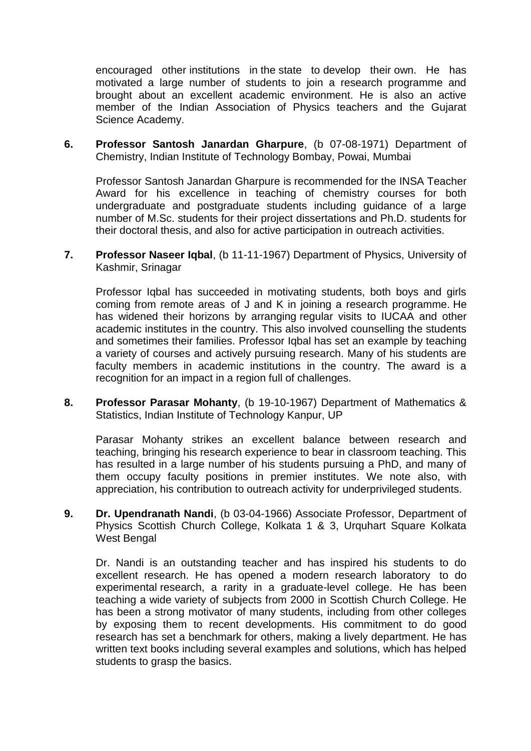encouraged other institutions in the state to develop their own. He has motivated a large number of students to join a research programme and brought about an excellent academic environment. He is also an active member of the Indian Association of Physics teachers and the Gujarat Science Academy.

**6. Professor Santosh Janardan Gharpure**, (b 07-08-1971) Department of Chemistry, Indian Institute of Technology Bombay, Powai, Mumbai

Professor Santosh Janardan Gharpure is recommended for the INSA Teacher Award for his excellence in teaching of chemistry courses for both undergraduate and postgraduate students including guidance of a large number of M.Sc. students for their project dissertations and Ph.D. students for their doctoral thesis, and also for active participation in outreach activities.

**7. Professor Naseer Iqbal**, (b 11-11-1967) Department of Physics, University of Kashmir, Srinagar

Professor Iqbal has succeeded in motivating students, both boys and girls coming from remote areas of J and K in joining a research programme. He has widened their horizons by arranging regular visits to IUCAA and other academic institutes in the country. This also involved counselling the students and sometimes their families. Professor Iqbal has set an example by teaching a variety of courses and actively pursuing research. Many of his students are faculty members in academic institutions in the country. The award is a recognition for an impact in a region full of challenges.

**8. Professor Parasar Mohanty**, (b 19-10-1967) Department of Mathematics & Statistics, Indian Institute of Technology Kanpur, UP

Parasar Mohanty strikes an excellent balance between research and teaching, bringing his research experience to bear in classroom teaching. This has resulted in a large number of his students pursuing a PhD, and many of them occupy faculty positions in premier institutes. We note also, with appreciation, his contribution to outreach activity for underprivileged students.

**9. Dr. Upendranath Nandi**, (b 03-04-1966) Associate Professor, Department of Physics Scottish Church College, Kolkata 1 & 3, Urquhart Square Kolkata West Bengal

Dr. Nandi is an outstanding teacher and has inspired his students to do excellent research. He has opened a modern research laboratory to do experimental research, a rarity in a graduate-level college. He has been teaching a wide variety of subjects from 2000 in Scottish Church College. He has been a strong motivator of many students, including from other colleges by exposing them to recent developments. His commitment to do good research has set a benchmark for others, making a lively department. He has written text books including several examples and solutions, which has helped students to grasp the basics.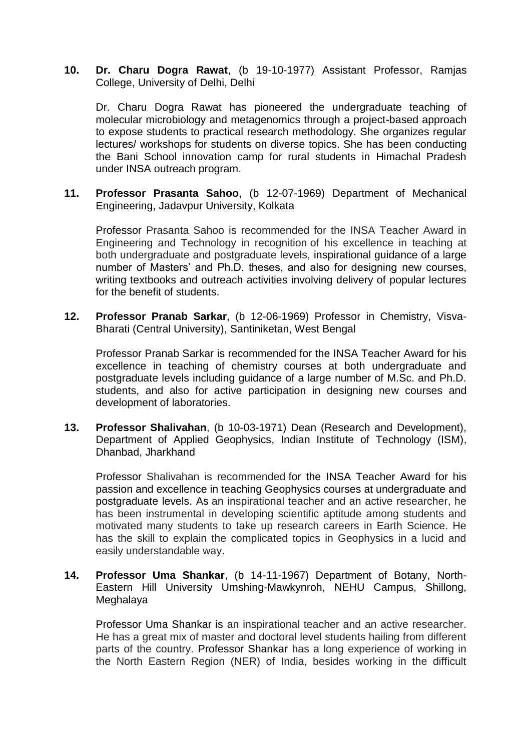**10. Dr. Charu Dogra Rawat**, (b 19-10-1977) Assistant Professor, Ramjas College, University of Delhi, Delhi

Dr. Charu Dogra Rawat has pioneered the undergraduate teaching of molecular microbiology and metagenomics through a project-based approach to expose students to practical research methodology. She organizes regular lectures/ workshops for students on diverse topics. She has been conducting the Bani School innovation camp for rural students in Himachal Pradesh under INSA outreach program.

**11. Professor Prasanta Sahoo**, (b 12-07-1969) Department of Mechanical Engineering, Jadavpur University, Kolkata

Professor Prasanta Sahoo is recommended for the INSA Teacher Award in Engineering and Technology in recognition of his excellence in teaching at both undergraduate and postgraduate levels, inspirational guidance of a large number of Masters' and Ph.D. theses, and also for designing new courses, writing textbooks and outreach activities involving delivery of popular lectures for the benefit of students.

**12. Professor Pranab Sarkar**, (b 12-06-1969) Professor in Chemistry, Visva-Bharati (Central University), Santiniketan, West Bengal

Professor Pranab Sarkar is recommended for the INSA Teacher Award for his excellence in teaching of chemistry courses at both undergraduate and postgraduate levels including guidance of a large number of M.Sc. and Ph.D. students, and also for active participation in designing new courses and development of laboratories.

**13. Professor Shalivahan**, (b 10-03-1971) Dean (Research and Development), Department of Applied Geophysics, Indian Institute of Technology (ISM), Dhanbad, Jharkhand

Professor Shalivahan is recommended for the INSA Teacher Award for his passion and excellence in teaching Geophysics courses at undergraduate and postgraduate levels. As an inspirational teacher and an active researcher, he has been instrumental in developing scientific aptitude among students and motivated many students to take up research careers in Earth Science. He has the skill to explain the complicated topics in Geophysics in a lucid and easily understandable way.

**14. Professor Uma Shankar**, (b 14-11-1967) Department of Botany, North-Eastern Hill University Umshing-Mawkynroh, NEHU Campus, Shillong, Meghalaya

Professor Uma Shankar is an inspirational teacher and an active researcher. He has a great mix of master and doctoral level students hailing from different parts of the country. Professor Shankar has a long experience of working in the North Eastern Region (NER) of India, besides working in the difficult